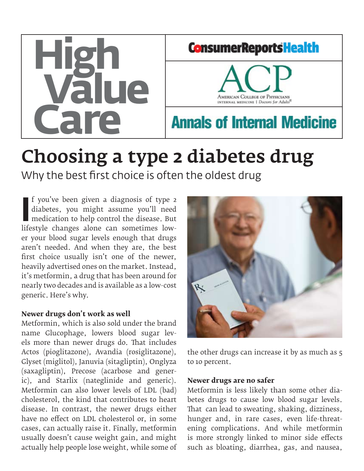

# Choosing a type 2 diabetes drug

Why the best first choice is often the oldest drug

Illifestyle changes alone can sometimes low-<br>
Interaction to help control the disease. But<br>
lifestyle changes alone can sometimes lowf you've been given a diagnosis of type 2 diabetes, you might assume you'll need medication to help control the disease. But er your blood sugar levels enough that drugs aren't needed. And when they are, the best first choice usually isn't one of the newer, heavily advertised ones on the market. Instead, it's metformin, a drug that has been around for nearly two decades and is available as a low-cost generic. Here's why.

#### **Newer drugs don't work as well**

Metformin, which is also sold under the brand name Glucophage, lowers blood sugar levels more than newer drugs do. That includes Actos (pioglitazone), Avandia (rosiglitazone), Glyset (miglitol), Januvia (sitagliptin), Onglyza (saxagliptin), Precose (acarbose and generic), and Starlix (nateglinide and generic). Metformin can also lower levels of LDL (bad) cholesterol, the kind that contributes to heart disease. In contrast, the newer drugs either have no effect on LDL cholesterol or, in some cases, can actually raise it. Finally, metformin usually doesn't cause weight gain, and might actually help people lose weight, while some of



the other drugs can increase it by as much as 5 to 10 percent.

#### **Newer drugs are no safer**

Metformin is less likely than some other diabetes drugs to cause low blood sugar levels. That can lead to sweating, shaking, dizziness, hunger and, in rare cases, even life-threatening complications. And while metformin is more strongly linked to minor side effects such as bloating, diarrhea, gas, and nausea,